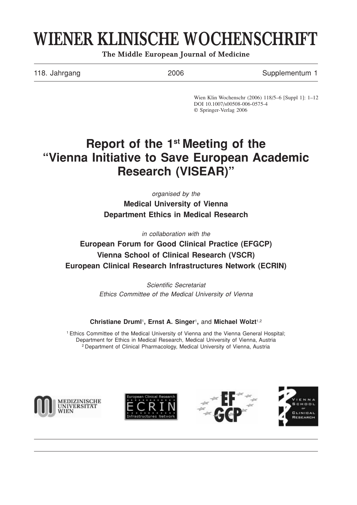## $\overline{p}$ WIENER KLINISCHE WOCHENSCHRIFT

The Middle European Journal of Medicine

118. Jahrgang 2006 2006 Supplementum 1

Wien Klin Wochenschr (2006) 118/5–6 [Suppl 1]: 1–12 DOI 10.1007/s00508-006-0575-4 © Springer-Verlag 2006

# **Report of the 1st Meeting of the "Vienna Initiative to Save European Academic Research (VISEAR)"**

organised by the

**Medical University of Vienna Department Ethics in Medical Research**

in collaboration with the

# **European Forum for Good Clinical Practice (EFGCP) Vienna School of Clinical Research (VSCR) European Clinical Research Infrastructures Network (ECRIN)**

Scientific Secretariat Ethics Committee of the Medical University of Vienna

### **Christiane Druml**1**, Ernst A. Singer**1**,** and **Michael Wolzt**1,2

<sup>1</sup> Ethics Committee of the Medical University of Vienna and the Vienna General Hospital; Department for Ethics in Medical Research, Medical University of Vienna, Austria <sup>2</sup> Department of Clinical Pharmacology, Medical University of Vienna, Austria







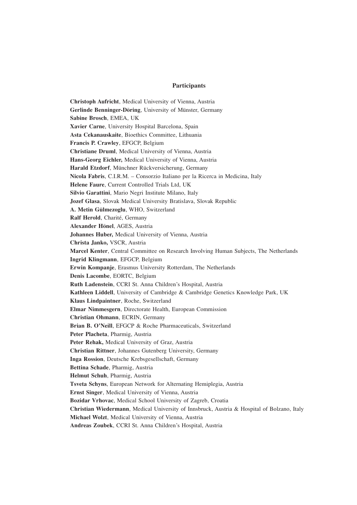#### **Participants**

**Christoph Aufricht**, Medical University of Vienna, Austria **Gerlinde Benninger-Döring**, University of Münster, Germany **Sabine Brosch**, EMEA, UK **Xavier Carne**, University Hospital Barcelona, Spain **Asta Cekanauskaite**, Bioethics Committee, Lithuania **Francis P. Crawley**, EFGCP, Belgium **Christiane Druml**, Medical University of Vienna, Austria **Hans-Georg Eichler,** Medical University of Vienna, Austria **Harald Etzdorf**, Münchner Rückversicherung, Germany **Nicola Fabris**, C.I.R.M. – Consorzio Italiano per la Ricerca in Medicina, Italy **Helene Faure**, Current Controlled Trials Ltd, UK **Silvio Garattini**, Mario Negri Institute Milano, Italy **Jozef Glasa**, Slovak Medical University Bratislava, Slovak Republic **A. Metin Gülmezoglu**, WHO, Switzerland **Ralf Herold**, Charité, Germany **Alexander Hönel**, AGES, Austria **Johannes Huber,** Medical University of Vienna, Austria **Christa Janko,** VSCR, Austria **Marcel Kenter**, Central Committee on Research Involving Human Subjects, The Netherlands **Ingrid Klingmann**, EFGCP, Belgium **Erwin Kompanje**, Erasmus University Rotterdam, The Netherlands **Denis Lacombe**, EORTC, Belgium **Ruth Ladenstein**, CCRI St. Anna Children's Hospital, Austria **Kathleen Liddell**, University of Cambridge & Cambridge Genetics Knowledge Park, UK **Klaus Lindpaintner**, Roche, Switzerland **Elmar Nimmesgern**, Directorate Health, European Commission **Christian Ohmann**, ECRIN, Germany **Brian B. O'Neill**, EFGCP & Roche Pharmaceuticals, Switzerland **Peter Placheta**, Pharmig, Austria **Peter Rehak,** Medical University of Graz, Austria **Christian Rittner**, Johannes Gutenberg University, Germany **Inga Rossion**, Deutsche Krebsgesellschaft, Germany **Bettina Schade**, Pharmig, Austria **Helmut Schuh**, Pharmig, Austria **Tsveta Schyns**, European Network for Alternating Hemiplegia, Austria **Ernst Singer**, Medical University of Vienna, Austria **Bozidar Vrhovac**, Medical School University of Zagreb, Croatia **Christian Wiedermann**, Medical University of Innsbruck, Austria & Hospital of Bolzano, Italy **Michael Wolzt**, Medical University of Vienna, Austria **Andreas Zoubek**, CCRI St. Anna Children's Hospital, Austria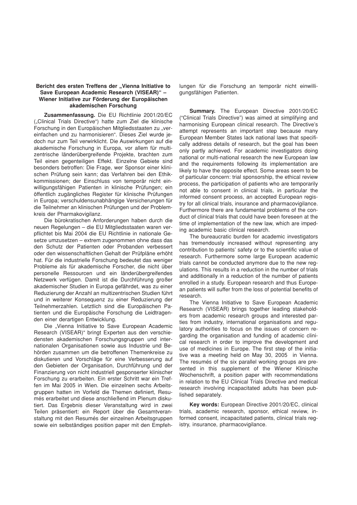#### Bericht des ersten Treffens der "Vienna Initiative to **Save European Academic Research (VISEAR)" – Wiener Initiative zur Förderung der Europäischen akademischen Forschung**

**Zusammenfassung.** Die EU Richtlinie 2001/20/EC ("Clinical Trials Directive") hatte zum Ziel die klinische Forschung in den Europäischen Mitgliedsstaaten zu "vereinfachen und zu harmonisieren". Dieses Ziel wurde jedoch nur zum Teil verwirklicht. Die Auswirkungen auf die akademische Forschung in Europa, vor allem für multizentrische länderübergreifende Projekte, brachten zum Teil einen gegenteiligen Effekt. Einzelne Gebiete sind besonders betroffen: Die Frage, wer Sponsor einer klinischen Prüfung sein kann; das Verfahren bei den Ethikkommissionen; der Einschluss von temporär nicht einwilligungsfähigen Patienten in klinische Prüfungen; ein öffentlich zugängliches Register für klinische Prüfungen in Europa; verschuldensunabhängige Versicherungen für die Teilnehmer an klinischen Prüfungen und der Problemkreis der Pharmakovigilanz.

Die bürokratischen Anforderungen haben durch die neuen Regelungen – die EU Mitgliedsstaaten waren verpflichtet bis Mai 2004 die EU Richtlinie in nationale Gesetze umzusetzen – extrem zugenommen ohne dass das den Schutz der Patienten oder Probanden verbessert oder den wissenschaftlichen Gehalt der Prüfpläne erhöht hat. Für die industrielle Forschung bedeutet das weniger Probleme als für akademische Forscher, die nicht über personelle Ressourcen und ein länderübergreifendes Netzwerk verfügen. Damit ist die Durchführung großer akademischer Studien in Europa gefährdet, was zu einer Reduzierung der Anzahl an multizentrischen Studien führt und in weiterer Konsequenz zu einer Reduzierung der Teilnehmerzahlen. Letztlich sind die Europäischen Patienten und die Europäische Forschung die Leidtragenden einer derartigen Entwicklung.

Die "Vienna Initiative to Save European Academic Research (VISEAR)" bringt Experten aus den verschiedensten akademischen Forschungsgruppen und internationalen Organisationen sowie aus Industrie und Behörden zusammen um die betroffenen Themenkreise zu diskutieren und Vorschläge für eine Verbesserung auf den Gebieten der Organisation, Durchführung und der Finanzierung von nicht industriell gesponserter klinischer Forschung zu erarbeiten. Ein erster Schritt war ein Treffen im Mai 2005 in Wien. Die einzelnen sechs Arbeitsgruppen hatten im Vorfeld die Themen definiert, Resumés erarbeitet und diese anschließend im Plenum diskutiert. Das Ergebnis dieser Veranstaltung wird in zwei Teilen präsentiert: ein Report über die Gesamtveranstaltung mit den Resumés der einzelnen Arbeitsgruppen sowie ein selbständiges position paper mit den Empfehlungen für die Forschung an temporär nicht einwilligungsfähigen Patienten.

**Summary.** The European Directive 2001/20/EC ("Clinical Trials Directive") was aimed at simplifying and harmonising European clinical research. The Directive's attempt represents an important step because many European Member States lack national laws that specifically address details of research, but the goal has been only partly achieved. For academic investigators doing national or multi-national research the new European law and the requirements following its implementation are likely to have the opposite effect. Some areas seem to be of particular concern: trial sponsorship, the ethical review process, the participation of patients who are temporarily not able to consent in clinical trials, in particular the informed consent process, an accepted European registry for all clinical trials, insurance and pharmacovigilance. Furthermore there are fundamental problems of the conduct of clinical trials that could have been foreseen at the time of implementation of the new law, which are impeding academic basic clinical research.

The bureaucratic burden for academic investigators has tremendously increased without representing any contribution to patients' safety or to the scientific value of research. Furthermore some large European academic trials cannot be conducted anymore due to the new regulations. This results in a reduction in the number of trials and additionally in a reduction of the number of patients enrolled in a study. European research and thus European patients will suffer from the loss of potential benefits of research.

The Vienna Initiative to Save European Academic Research (VISEAR) brings together leading stakeholders from academic research groups and interested parties from industry, international organisations and regulatory authorities to focus on the issues of concern regarding the organisation and funding of academic clinical research in order to improve the development and use of medicines in Europe. The first step of the initiative was a meeting held on May 30, 2005 in Vienna. The resumés of the six parallel working groups are presented in this supplement of the Wiener Klinische Wochenschrift, a position paper with recommendations in relation to the EU Clinical Trials Directive and medical research involving incapacitated adults has been published separately.

**Key words:** European Directive 2001/20/EC, clinical trials, academic research, sponsor, ethical review, informed consent, incapacitated patients, clinical trials registry, insurance, pharmacovigilance.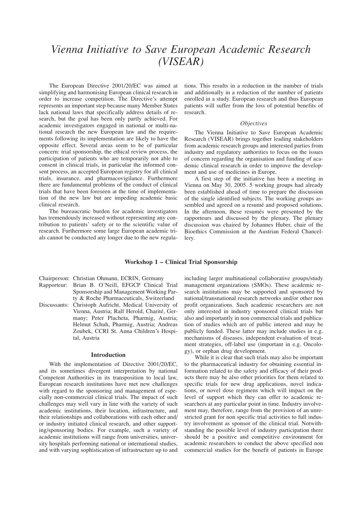# *Vienna Initiative to Save European Academic Research (VISEAR)*

The European Directive 2001/20/EC was aimed at simplifying and harmonising European clinical research in order to increase competition. The Directive's attempt represents an important step because many Member States lack national laws that specifically address details of research, but the goal has been only partly achieved. For academic investigators engaged in national or multi-national research the new European law and the requirements following its implementation are likely to have the opposite effect. Several areas seem to be of particular concern: trial sponsorship, the ethical review process, the participation of patients who are temporarily not able to consent in clinical trials, in particular the informed consent process, an accepted European registry for all clinical trials, insurance, and pharmacovigilance. Furthermore there are fundamental problems of the conduct of clinical trials that have been foreseen at the time of implementation of the new law but are impeding academic basic clinical research.

The bureaucratic burden for academic investigators has tremendously increased without representing any contribution to patients' safety or to the scientific value of research. Furthermore some large European academic trials cannot be conducted any longer due to the new regula-

tions. This results in a reduction in the number of trials and additionally in a reduction of the number of patients enrolled in a study. European research and thus European patients will suffer from the loss of potential benefits of research.

#### *Objectives*

The Vienna Initiative to Save European Academic Research (VISEAR) brings together leading stakeholders from academic research groups and interested parties from industry and regulatory authorities to focus on the issues of concern regarding the organisation and funding of academic clinical research in order to improve the development and use of medicines in Europe.

A first step of the initiative has been a meeting in Vienna on May 30, 2005. 5 working groups had already been established ahead of time to prepare the discussion of the single identified subjects. The working groups assembled and agreed on a resumé and proposed solutions. In the afternoon, these resumés were presented by the rapporteurs and discussed by the plenary. The plenary discussion was chaired by Johannes Huber, chair of the Bioethics Commission at the Austrian Federal Chancellery.

#### **Workshop 1 – Clinical Trial Sponsorship**

- Chairperson: Christian Ohmann, ECRIN, Germany Rapporteur: Brian B. O'Neill, EFGCP Clinical Trial Sponsorship and Management Working Party & Roche Pharmaceuticals, Switzerland Discussants: Christoph Aufricht, Medical University of
- Vienna, Austria; Ralf Herold, Charité, Germany; Peter Placheta, Pharmig, Austria; Helmut Schuh, Pharmig, Austria; Andreas Zoubek, CCRI St. Anna Children's Hospital, Austria

#### **Introduction**

With the implementation of Directive 2001/20/EC, and its sometimes divergent interpretation by national Competent Authorities in its transposition to local law, European research institutions have met new challenges with regard to the sponsoring and management of especially non-commercial clinical trials. The impact of such challenges may well vary in line with the variety of such academic institutions, their location, infrastructure, and their relationships and collaborations with each other and/ or industry initiated clinical research, and other supporting/sponsoring bodies. For example, such a variety of academic institutions will range from universities, university hospitals performing national or international studies, and with varying sophistication of infrastructure up to and

including larger multinational collaborative groups/study management organizations (SMOs). These academic research institutions may be supported and sponsored by national/transnational research networks and/or other non profit organizations. Such academic researchers are not only interested in industry sponsored clinical trials but also and importantly in non commercial trials and publication of studies which are of public interest and may be publicly funded. These latter may include studies in e.g. mechanisms of diseases, independent evaluation of treatment strategies, off-label use (important in e.g. Oncology), or orphan drug development.

While it is clear that such trials may also be important to the pharmaceutical industry for obtaining essential information related to the safety and efficacy of their products there may be also other priorities for them related to specific trials for new drug applications, novel indications, or novel dose regimens which will impact on the level of support which they can offer to academic researchers at any particular point in time. Industry involvement may, therefore, range from the provision of an unrestricted grant for non specific trial activities to full industry involvement as sponsor of the clinical trial. Notwithstanding the possible level of industry participation there should be a positive and competitive environment for academic researchers to conduct the above specified non commercial studies for the benefit of patients in Europe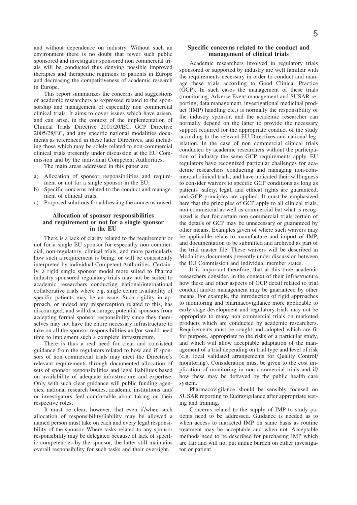and without dependence on industry. Without such an environment there is no doubt that fewer such public sponsored and investigator sponsored non commercial trials will be conducted thus denying possible improved therapies and therapeutic regimens to patients in Europe and decreasing the competitiveness of academic research in Europe.

This report summarizes the concerns and suggestions of academic researchers as expressed related to the sponsorship and management of especially non commercial clinical trials. It aims to cover issues which have arisen, and can arise, in the context of the implementation of Clinical Trials Directive 2001/20/EC, GCP Directive 2005/28/EC, and any specific national modalities documents as referenced in these latter Directives, and including those which may be solely related to non-commercial clinical trials presently under discussion at the EU Commission and by the individual Competent Authorities.

The main areas addressed in this paper are:

- a) Allocation of sponsor responsibilities and requirement or not for a single sponsor in the EU;
- b) Specific concerns related to the conduct and management of clinical trials;
- c) Proposed solutions for addressing the concerns raised.

#### **Allocation of sponsor responsibilities and requirement or not for a single sponsor in the EU**

There is a lack of clarity related to the requirement or not for a single EU sponsor for especially non commercial, non-regulatory, clinical trials, and more particularly how such a requirement is being, or will be consistently interpreted by individual Competent Authorities. Certainly, a rigid single sponsor model more suited to Pharma industry sponsored regulatory trials may not be suited to academic researchers conducting national/international collaborative trials where e.g. single centre availability of specific patients may be an issue. Such rigidity in approach, or indeed any misperception related to this, has discouraged, and will discourage, potential sponsors from accepting formal sponsor responsibility since they themselves may not have the entire necessary infrastructure to take on all the sponsor responsibilities and/or would need time to implement such a complete infrastructure.

There is thus a real need for clear and consistent guidance from the regulators related to how and if sponsors of non commercial trials may meet the Directive's relevant requirements through documented allocation of sets of sponsor responsibilities and legal liabilities based on availability of adequate infrastructure and expertise. Only with such clear guidance will public funding agencies, national research bodies, academic institutions and/ or investigators feel comfortable about taking on their respective roles.

It must be clear, however, that even if/when such allocation of responsibility/liability may be allowed a named person must take on each and every legal responsibility of the sponsor. Where tasks related to any sponsor responsibility may be delegated because of lack of specific competencies by the sponsor, the latter still maintains overall responsibility for such tasks and their oversight.

#### **Specific concerns related to the conduct and management of clinical trials**

Academic researchers involved in regulatory trials sponsored or supported by industry are well familiar with the requirements necessary in order to conduct and manage these trials according to Good Clinical Practice (GCP). In such cases the management of these trials (monitoring, Adverse Event management and SUSAR reporting, data management, investigational medicinal product (IMP) handling etc.) is normally the responsibility of the industry sponsor, and the academic researcher can normally depend on the latter to provide the necessary support required for the appropriate conduct of the study according to the relevant EU Directives and national legislation. In the case of non commercial clinical trials conducted by academic researchers without the participation of industry the same GCP requirements apply. EU regulators have recognized particular challenges for academic researchers conducting and managing non-commercial clinical trials, and have indicated their willingness to consider waivers to specific GCP conditions as long as patients' safety, legal, and ethical rights are guaranteed, and GCP principles are applied. It must be emphasized here that the principles of GCP apply to all clinical trials, non commercial as well as commercial but what is recognized is that for certain non commercial trials certain of the details of GCP may be unnecessary or guaranteed by other means. Examples given of where such waivers may be applicable relate to manufacture and import of IMP, and documentation to be submitted and archived as part of the trial master file. These waivers will be described in Modalities documents presently under discussion between the EU Commission and individual member states.

It is important therefore, that at this time academic researchers consider, in the context of their infrastructure how these and other aspects of GCP detail related to trial conduct and/or management may be guaranteed by other means. For example, the introduction of rigid approaches to monitoring and pharmacovigilance more applicable to early stage development and regulatory trials may not be appropriate to many non commercial trials on marketed products which are conducted by academic researchers. Requirements must be sought and adopted which are fit for purpose, appropriate to the risks of a particular study, and which will allow acceptable adaptation of the management of a trial depending on trial type and level of risk (e.g. local validated arrangements for Quality Control/ monitoring). Consideration must be given to the cost implication of monitoring in non-commercial trials and if/ how these may be defrayed by the public health care system.

Pharmacovigilance should be sensibly focused on SUSAR reporting to Eudravigilance after appropriate testing and training.

Concerns related to the supply of IMP to study patients need to be addressed. Guidance is needed as to when access to marketed IMP on same basis as routine treatment may be acceptable and when not. Acceptable methods need to be described for purchasing IMP which are fair and will not put undue burden on either investigator or patient.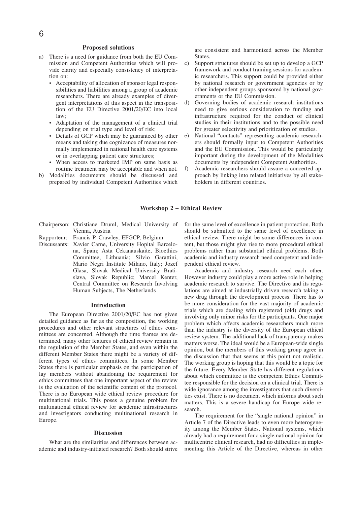#### **Proposed solutions**

- a) There is a need for guidance from both the EU Commission and Competent Authorities which will provide clarity and especially consistency of interpretation on:
	- Acceptability of allocation of sponsor legal responsibilities and liabilities among a group of academic researchers. There are already examples of divergent interpretations of this aspect in the transposition of the EU Directive 2001/20/EC into local law;
	- Adaptation of the management of a clinical trial depending on trial type and level of risk;
	- Details of GCP which may be guaranteed by other means and taking due cognizance of measures normally implemented in national health care systems or in overlapping patient care structures;
	- When access to marketed IMP on same basis as routine treatment may be acceptable and when not.
- b) Modalities documents should be discussed and prepared by individual Competent Authorities which

are consistent and harmonized across the Member **States**.

- c) Support structures should be set up to develop a GCP framework and conduct training sessions for academic researchers. This support could be provided either by national research or government agencies or by other independent groups sponsored by national governments or the EU Commission.
- d) Governing bodies of academic research institutions need to give serious consideration to funding and infrastructure required for the conduct of clinical studies in their institutions and to the possible need for greater selectivity and prioritization of studies.
- e) National "contacts" representing academic researchers should formally input to Competent Authorities and the EU Commission. This would be particularly important during the development of the Modalities documents by independent Competent Authorities.
- f) Academic researchers should assure a concerted approach by linking into related initiatives by all stakeholders in different countries.

#### **Workshop 2 – Ethical Review**

- Chairperson: Christiane Druml, Medical University of Vienna, Austria
- Rapporteur: Francis P. Crawley, EFGCP, Belgium
- Discussants: Xavier Carne, University Hopital Barcelona, Spain; Asta Cekanauskaite, Bioethics Committee, Lithuania; Silvio Garattini, Mario Negri Institute Milano, Italy; Jozef Glasa, Slovak Medical University Bratislava, Slovak Republic; Marcel Kenter, Central Committee on Research Involving Human Subjects, The Netherlands

#### **Introduction**

The European Directive 2001/20/EC has not given detailed guidance as far as the composition, the working procedures and other relevant structures of ethics committees are concerned. Although the time frames are determined, many other features of ethical review remain in the regulation of the Member States, and even within the different Member States there might be a variety of different types of ethics committees. In some Member States there is particular emphasis on the participation of lay members without abandoning the requirement for ethics committees that one important aspect of the review is the evaluation of the scientific content of the protocol. There is no European wide ethical review procedure for multinational trials. This poses a genuine problem for multinational ethical review for academic infrastructures and investigators conducting multinational research in Europe.

#### **Discussion**

What are the similarities and differences between academic and industry-initiated research? Both should strive for the same level of excellence in patient protection. Both should be submitted to the same level of excellence in ethical review. There might be some differences in content, but those might give rise to more procedural ethical problems rather than substantial ethical problems. Both academic and industry research need competent and independent ethical review.

Academic and industry research need each other. However industry could play a more active role in helping academic research to survive. The Directive and its regulations are aimed at industrially driven research taking a new drug through the development process. There has to be more consideration for the vast majority of academic trials which are dealing with registered (old) drugs and involving only minor risks for the participants. One major problem which affects academic researchers much more than the industry is the diversity of the European ethical review system. The additional lack of transparency makes matters worse. The ideal would be a European-wide single opinion, but the members of this working group agree in the discussion that that seems at this point not realistic. The working group is hoping that this would be a topic for the future. Every Member State has different regulations about which committee is the competent Ethics Committee responsible for the decision on a clinical trial. There is wide ignorance among the investigators that such diversities exist. There is no document which informs about such matters. This is a severe handicap for Europe wide research.

The requirement for the "single national opinion" in Article 7 of the Directive leads to even more heterogeneity among the Member States. National systems, which already had a requirement for a single national opinion for multicentric clinical research, had no difficulties in implementing this Article of the Directive, whereas in other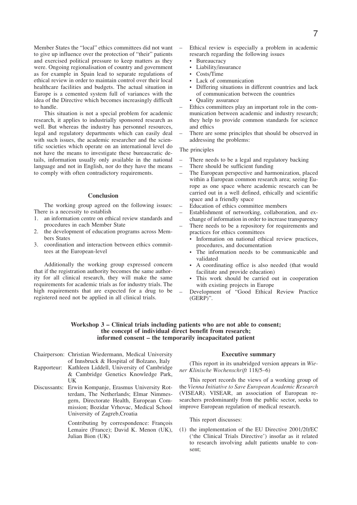- Liability/insurance
- Costs/Time
- Lack of communication
- Differing situations in different countries and lack of communication between the countries
- Quality assurance
- Ethics committees play an important role in the communication between academic and industry research; they help to provide common standards for science and ethics
- There are some principles that should be observed in addressing the problems:

#### The principles

- There needs to be a legal and regulatory backing
- There should be sufficient funding
- The European perspective and harmonization, placed within a European common research area; seeing Europe as one space where academic research can be carried out in a well defined, ethically and scientific space and a friendly space
- Education of ethics committee members
- Establishment of networking, collaboration, and exchange of information in order to increase transparency
- There needs to be a repository for requirements and practices for ethics committees
	- Information on national ethical review practices, procedures, and documentation
	- The information needs to be communicable and validated
	- A coordinating office is also needed (that would facilitate and provide education)
	- This work should be carried out in cooperation with existing projects in Europe
- Development of "Good Ethical Review Practice (GERP)".

#### **Workshop 3 – Clinical trials including patients who are not able to consent; the concept of individual direct benefit from research; informed consent – the temporarily incapacitated patient**

Chairperson: Christian Wiedermann, Medical University of Innsbruck & Hospital of Bolzano, Italy Rapporteur: Kathleen Liddell, University of Cambridge

as for example in Spain lead to separate regulations of ethical review in order to maintain control over their local healthcare facilities and budgets. The actual situation in Europe is a cemented system full of variances with the idea of the Directive which becomes increasingly difficult

This situation is not a special problem for academic research, it applies to industrially sponsored research as well. But whereas the industry has personnel resources, legal and regulatory departments which can easily deal with such issues, the academic researcher and the scientific societies which operate on an international level do not have the means to investigate these bureaucratic details, information usually only available in the national language and not in English, nor do they have the means to comply with often contradictory requirements.

**Conclusion** The working group agreed on the following issues:

1. an information centre on ethical review standards and

2. the development of education programs across Mem-

3. coordination and interaction between ethics commit-

Additionally the working group expressed concern that if the registration authority becomes the same authority for all clinical research, they will make the same requirements for academic trials as for industry trials. The high requirements that are expected for a drug to be registered need not be applied in all clinical trials.

There is a necessity to establish

tees at the European-level

bers States

procedures in each Member State

to handle.

- & Cambridge Genetics Knowledge Park, UK
- Discussants: Erwin Kompanje, Erasmus University Rotterdam, The Netherlands; Elmar Nimmesgern, Directorate Health, European Commission; Bozidar Vrhovac, Medical School University of Zagreb,Croatia

Contributing by correspondence: François Lemaire (France); David K. Menon (UK), Julian Bion (UK)

#### **Executive summary**

(This report in its unabridged version appears in *Wiener Klinische Wochenschrift* 118/5–6)

This report records the views of a working group of the *Vienna Initiative to Save European Academic Research* (VISEAR). VISEAR, an association of European researchers predominantly from the public sector, seeks to improve European regulation of medical research.

#### This report discusses:

(1) the implementation of the EU Directive 2001/20/EC ('the Clinical Trials Directive') insofar as it related to research involving adult patients unable to consent;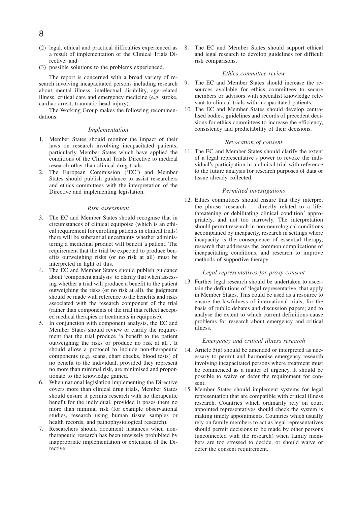- (2) legal, ethical and practical difficulties experienced as a result of implementation of the Clinical Trials Directive; and
- (3) possible solutions to the problems experienced.

The report is concerned with a broad variety of research involving incapacitated persons including research about mental illness, intellectual disability, age-related illness, critical care and emergency medicine (e.g. stroke, cardiac arrest, traumatic head injury).

The Working Group makes the following recommendations:

#### *Implementation*

- 1. Member States should monitor the impact of their laws on research involving incapacitated patients, particularly Member States which have applied the conditions of the Clinical Trials Directive to medical research other than clinical drug trials.
- 2. The European Commission ('EC') and Member States should publish guidance to assist researchers and ethics committees with the interpretation of the Directive and implementing legislation.

#### *Risk assessment*

- 3. The EC and Member States should recognise that in circumstances of clinical equipoise (which is an ethical requirement for enrolling patients in clinical trials) there will be substantial uncertainty whether administering a medicinal product will benefit a patient. The requirement that the trial be expected to produce benefits outweighing risks (or no risk at all) must be interpreted in light of this.
- 4. The EC and Member States should publish guidance about 'component analysis' to clarify that when assessing whether a trial will produce a benefit to the patient outweighing the risks (or no risk at all), the judgment should be made with reference to the benefits and risks associated with the research component of the trial (rather than components of the trial that reflect accepted medical therapies or treatments in equipoise).
- 5. In conjunction with component analysis, the EC and Member States should review or clarify the requirement that the trial produce 'a benefit to the patient outweighing the risks or produce no risk at all'. It should allow a protocol to include non-therapeutic components (e.g. scans, chart checks, blood tests) of no benefit to the individual, provided they represent no more than minimal risk, are minimised and proportionate to the knowledge gained.
- 6. When national legislation implementing the Directive covers more than clinical drug trials, Member States should ensure it permits research with no therapeutic benefit for the individual, provided it poses them no more than minimal risk (for example observational studies, research using human tissue samples or health records, and pathophysiological research).
- 7. Researchers should document instances when nontherapeutic research has been unwisely prohibited by inappropriate implementation or extension of the Directive.

8. The EC and Member States should support ethical and legal research to develop guidelines for difficult risk comparisons.

#### *Ethics committee review*

- 9. The EC and Member States should increase the resources available for ethics committees to secure members or advisors with specialist knowledge relevant to clinical trials with incapacitated patients.
- 10. The EC and Member States should develop centralised bodies, guidelines and records of precedent decisions for ethics committees to increase the efficiency, consistency and predictability of their decisions.

### *Revocation of consent*

11. The EC and Member States should clarify the extent of a legal representative's power to revoke the individual's participation in a clinical trial with reference to the future analysis for research purposes of data or tissue already collected.

#### *Permitted investigations*

12. Ethics committees should ensure that they interpret the phrase 'research … directly related to a lifethreatening or debilitating clinical condition' appropriately, and not too narrowly. The interpretation should permit research in non-neurological conditions accompanied by incapacity, research in settings where incapacity is the consequence of essential therapy, research that addresses the common complications of incapacitating conditions, and research to improve methods of supportive therapy.

#### *Legal representatives for proxy consent*

13. Further legal research should be undertaken to ascertain the definitions of 'legal representative' that apply in Member States. This could be used as a resource to ensure the lawfulness of international trials; for the basis of public debates and discussion papers; and to analyse the extent to which current definitions cause problems for research about emergency and critical illness.

#### *Emergency and critical illness research*

- 14. Article 5(a) should be amended or interpreted as necessary to permit and harmonise emergency research involving incapacitated persons where treatment must be commenced as a matter of urgency. It should be possible to waive or defer the requirement for consent.
- 15. Member States should implement systems for legal representation that are compatible with critical illness research. Countries which ordinarily rely on court appointed representatives should check the system is making timely appointments. Countries which usually rely on family members to act as legal representatives should permit decisions to be made by other persons (unconnected with the research) when family members are too stressed to decide, or should waive or defer the consent requirement.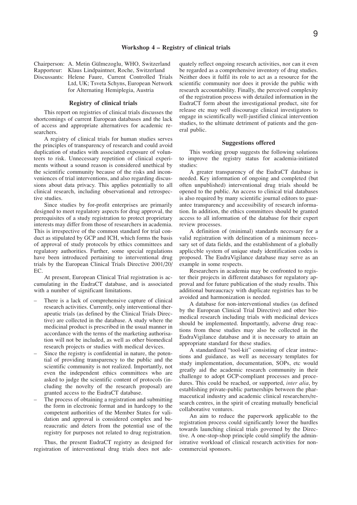Chairperson: A. Metin Gülmezoglu, WHO, Switzerland Rapporteur: Klaus Lindpaintner, Roche, Switzerland Discussants: Helene Faure, Current Controlled Trials Ltd, UK; Tsveta Schyns, European Network for Alternating Hemiplegia, Austria

### **Registry of clinical trials**

This report on registries of clinical trials discusses the shortcomings of current European databases and the lack of access and appropriate alternatives for academic researchers.

A registry of clinical trials for human studies serves the principles of transparency of research and could avoid duplication of studies with associated exposure of volunteers to risk. Unnecessary repetition of clinical experiments without a sound reason is considered unethical by the scientific community because of the risks and inconveniences of trial interventions, and also regarding discussions about data privacy. This applies potentially to all clinical research, including observational and retrospective studies.

Since studies by for-profit enterprises are primarily designed to meet regulatory aspects for drug approval, the prerequisites of a study registration to protect proprietary interests may differ from those of researchers in academia. This is irrespective of the common standard for trial conduct as stipulated by GCP and ICH, which forms the basis of approval of study protocols by ethics committees and regulatory authorities. Further, some special regulations have been introduced pertaining to interventional drug trials by the European Clinical Trials Directive 2001/20/ EC.

At present, European Clinical Trial registration is accumulating in the EudraCT database, and is associated with a number of significant limitations.

- There is a lack of comprehensive capture of clinical research activities. Currently, only interventional therapeutic trials (as defined by the Clinical Trials Directive) are collected in the database. A study where the medicinal product is prescribed in the usual manner in accordance with the terms of the marketing authorisation will not be included, as well as other biomedical research projects or studies with medical devices.
- Since the registry is confidential in nature, the potential of providing transparency to the public and the scientific community is not realized. Importantly, not even the independent ethics committees who are asked to judge the scientific content of protocols (including the novelty of the research proposal) are granted access to the EudraCT database.
- The process of obtaining a registration and submitting the form in electronic format and in hardcopy to the competent authorities of the Member States for validation and approval is considered complex and bureaucratic and deters from the potential use of the registry for purposes not related to drug registration.

Thus, the present EudraCT registry as designed for registration of interventional drug trials does not ade-

quately reflect ongoing research activities, nor can it even be regarded as a comprehensive inventory of drug studies. Neither does it fulfil its role to act as a resource for the scientific community nor does it provide the public with research accountability. Finally, the perceived complexity of the registration process with detailed information in the EudraCT form about the investigational product, site for release etc may well discourage clinical investigators to engage in scientifically well-justified clinical intervention studies, to the ultimate detriment of patients and the general public.

#### **Suggestions offered**

This working group suggests the following solutions to improve the registry status for academia-initiated studies:

A greater transparency of the EudraCT database is needed. Key information of ongoing and completed (but often unpublished) interventional drug trials should be opened to the public. An access to clinical trial databases is also required by many scientific journal editors to guarantee transparency and accessibility of research information. In addition, the ethics committees should be granted access to all information of the database for their expert review processes.

A definition of (minimal) standards necessary for a valid registration with delineation of a minimum necessary set of data fields, and the establishment of a globally appliccble system of unique study identification codes is proposed. The EudraVigilance database may serve as an example in some respects.

Researchers in academia may be confronted to register their projects in different databases for regulatory approval and for future publication of the study results. This additional bureaucracy with duplicate registries has to be avoided and harmonization is needed.

A database for non-interventional studies (as defined by the European Clinical Trial Directive) and other biomedical research including trials with medicinal devices should be implemented. Importantly, adverse drug reactions from these studies may also be collected in the EudraVigilance database and it is necessary to attain an appropriate standard for these studies.

A standardized "tool-kit" consisting of clear instructions and guidance, as well as necessary templates for study implementation, documentation, SOPs, etc would greatly aid the academic research community in their challenge to adopt GCP-compliant processes and procedures. This could be reached, or supported, *inter alia*, by establishing private-public partnerships between the pharmaceutical industry and academic clinical researchers/research centres, in the spirit of creating mutually beneficial collaborative ventures.

An aim to reduce the paperwork applicable to the registration process could significantly lower the hurdles towards launching clinical trials governed by the Directive. A one-stop-shop principle could simplify the administrative workload of clinical research activities for noncommercial sponsors.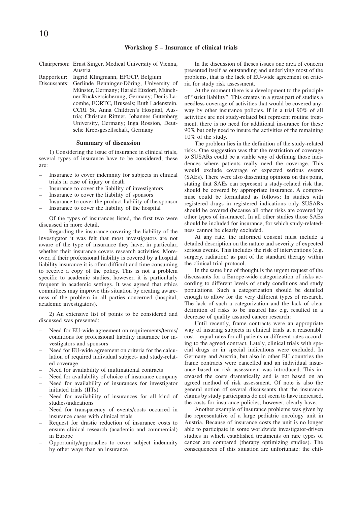Chairperson: Ernst Singer, Medical University of Vienna, Austria

Rapporteur: Ingrid Klingmann, EFGCP, Belgium

Discussants: Gerlinde Benninger-Döring, University of Münster, Germany; Harald Etzdorf, Münchner Rückversicherung, Germany; Denis Lacombe, EORTC, Brussels; Ruth Ladenstein, CCRI St. Anna Children's Hospital, Austria; Christian Rittner, Johannes Gutenberg University, Germany; Inga Rossion, Deutsche Krebsgesellschaft, Germany

#### **Summary of discussion**

1) Considering the issue of insurance in clinical trials, several types of insurance have to be considered, these are:

- Insurance to cover indemnity for subjects in clinical trials in case of injury or death
- Insurance to cover the liability of investigators
- Insurance to cover the liability of sponsors
- Insurance to cover the product liability of the sponsor
- Insurance to cover the liability of the hospital

Of the types of insurances listed, the first two were discussed in more detail.

Regarding the insurance covering the liability of the investigator it was felt that most investigators are not aware of the type of insurance they have, in particular, whether their insurance covers research activities. Moreover, if their professional liability is covered by a hospital liability insurance it is often difficult and time consuming to receive a copy of the policy. This is not a problem specific to academic studies, however, it is particularly frequent in academic settings. It was agreed that ethics committees may improve this situation by creating awareness of the problem in all parties concerned (hospital, academic investigators).

2) An extensive list of points to be considered and discussed was presented:

- Need for EU-wide agreement on requirements/terms/ conditions for professional liability insurance for investigators and sponsors
- Need for EU-wide agreement on criteria for the calculation of required individual subject- and study-related coverage
- Need for availability of multinational contracts
- Need for availability of choice of insurance company
- Need for availability of insurances for investigator initiated trials (IITs)
- Need for availability of insurances for all kind of studies/indications
- Need for transparency of events/costs occurred in insurance cases with clinical trials
- Request for drastic reduction of insurance costs to ensure clinical research (academic and commercial) in Europe
- Opportunity/approaches to cover subject indemnity by other ways than an insurance

In the discussion of theses issues one area of concern presented itself as outstanding and underlying most of the problems, that is the lack of EU-wide agreement on criteria for study risk assessment.

At the moment there is a development to the principle of "strict liability". This creates in a great part of studies a needless coverage of activities that would be covered anyway by other insurance policies. If in a trial 90% of all activities are not study-related but represent routine treatment, there is no need for additional insurance for these 90% but only need to insure the activities of the remaining 10% of the study.

The problem lies in the definition of the study-related risks. One suggestion was that the restriction of coverage to SUSARs could be a viable way of defining those incidences where patients really need the coverage. This would exclude coverage of expected serious events (SAEs). There were also dissenting opinions on this point, stating that SAEs can represent a study-related risk that should be covered by appropriate insurance. A compromise could be formulated as follows: In studies with registered drugs in registered indications only SUSARs should be covered (because all other risks are covered by other types of insurance). In all other studies those SAEs should be included for insurance, for which study-relatedness cannot be clearly excluded.

At any rate, the informed consent must include a detailed description on the nature and severity of expected serious events. This includes the risk of interventions (e.g. surgery, radiation) as part of the standard therapy within the clinical trial protocol.

In the same line of thought is the urgent request of the discussants for a Europe-wide categorization of risks according to different levels of study conditions and study populations. Such a categorization should be detailed enough to allow for the very different types of research. The lack of such a categorization and the lack of clear definition of risks to be insured has e.g. resulted in a decrease of quality assured cancer research:

Until recently, frame contracts were an appropriate way of insuring subjects in clinical trials at a reasonable cost – equal rates for all patients or different rates according to the agreed contract. Lately, clinical trials with special drugs or in special indications were excluded. In Germany and Austria, but also in other EU countries the frame contracts were cancelled and an individual insurance based on risk assessment was introduced. This increased the costs dramatically and is not based on an agreed method of risk assessment. Of note is also the general notion of several discussants that the insurance claims by study participants do not seem to have increased, the costs for insurance policies, however, clearly have.

Another example of insurance problems was given by the representative of a large pediatric oncology unit in Austria. Because of insurance costs the unit is no longer able to participate in some worldwide investigator-driven studies in which established treatments on rare types of cancer are compared (therapy optimizing studies). The consequences of this situation are unfortunate: the chil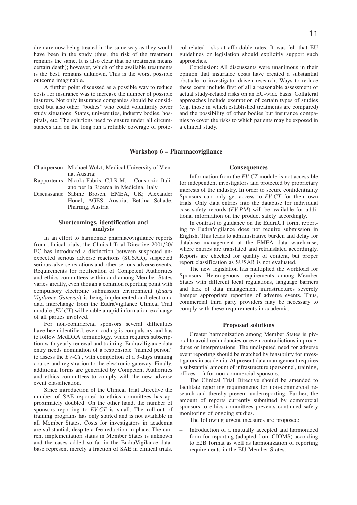dren are now being treated in the same way as they would have been in the study (thus, the risk of the treatment remains the same. It is also clear that no treatment means certain death); however, which of the available treatments is the best, remains unknown. This is the worst possible outcome imaginable.

A further point discussed as a possible way to reduce costs for insurance was to increase the number of possible insurers. Not only insurance companies should be considered but also other "bodies" who could voluntarily cover study situations: States, universities, industry bodies, hospitals, etc. The solutions need to ensure under all circumstances and on the long run a reliable coverage of protocol-related risks at affordable rates. It was felt that EU guidelines or legislation should explicitly support such approaches.

Conclusion: All discussants were unanimous in their opinion that insurance costs have created a substantial obstacle to investigator-driven research. Ways to reduce these costs include first of all a reasonable assessment of actual study-related risks on an EU-wide basis. Collateral approaches include exemption of certain types of studies (e.g. those in which established treatments are compared) and the possibility of other bodies but insurance companies to cover the risks to which patients may be exposed in a clinical study.

#### **Workshop 6 – Pharmacovigilance**

- Chairperson: Michael Wolzt, Medical University of Vienna, Austria;
- Rapporteurs: Nicola Fabris, C.I.R.M. Consorzio Italiano per la Ricerca in Medicina, Italy
- Discussants: Sabine Brosch, EMEA, UK; Alexander Hönel, AGES, Austria; Bettina Schade, Pharmig, Austria

#### **Shortcomings, identification and analysis**

In an effort to harmonize pharmacovigilance reports from clinical trials, the Clinical Trial Directive 2001/20/ EC has introduced a distinction between suspected unexpected serious adverse reactions (SUSAR), suspected serious adverse reactions and other serious adverse events. Requirements for notification of Competent Authorities and ethics committees within and among Member States varies greatly, even though a common reporting point with compulsory electronic submission environment (*Eudra Vigilance Gateway*) is being implemented and electronic data interchange from the EudraVigilance Clinical Trial module (*EV-CT*) will enable a rapid information exchange of all parties involved.

For non-commercial sponsors several difficulties have been identified: event coding is compulsory and has to follow MedDRA terminology, which requires subscription with yearly renewal and training. Eudraviligance data entry needs nomination of a responsible "named person" to assess the *EV-CT*, with completion of a 3-days training course and registration to the electronic gateway. Finally, additional forms are generated by Competent Authorities and ethics committees to comply with the new adverse event classification.

Since introduction of the Clinical Trial Directive the number of SAE reported to ethics committees has approximately doubled. On the other hand, the number of sponsors reporting to *EV-CT* is small. The roll-out of training programs has only started and is not available in all Member States. Costs for investigators in academia are substantial, despite a fee reduction in place. The current implementation status in Member States is unknown and the cases added so far in the EudraVigilance database represent merely a fraction of SAE in clinical trials.

Information from the *EV-CT* module is not accessible for independent investigators and protected by proprietary interests of the industry. In order to secure confidentiality Sponsors can only get access to *EV-CT* for their own trials. Only data entries into the database for individual case safety records (*EV-PM*) will be available for additional information on the product safety accordingly.

**Consequences**

In contrast to guidance on the EudraCT form, reporting to EudraVigilance does not require submission in English. This leads to administrative burden and delay for database management at the EMEA data warehouse, where entries are translated and retranslated accordingly. Reports are checked for quality of content, but proper report classification as SUSAR is not evaluated.

The new legislation has multiplied the workload for Sponsors. Heterogenous requirements among Member States with different local regulations, language barriers and lack of data management infrastructures severely hamper appropriate reporting of adverse events. Thus, commercial third party providers may be necessary to comply with these requirements in academia.

#### **Proposed solutions**

Greater harmonization among Member States is pivotal to avoid redundancies or even contradictions in procedures or interpretations. The undisputed need for adverse event reporting should be matched by feasibility for investigators in academia. At present data management requires a substantial amount of infrastructure (personnel, training, offices …) for non-commercial sponsors.

The Clinical Trial Directive should be amended to facilitate reporting requirements for non-commercial research and thereby prevent underreporting. Further, the amount of reports currently submitted by commercial sponsors to ethics committees prevents continued safety monitoring of ongoing studies.

The following urgent measures are proposed:

– Introduction of a mutually accepted and harmonized form for reporting (adapted from CIOMS) according to E2B format as well as harmonization of reporting requirements in the EU Member States.